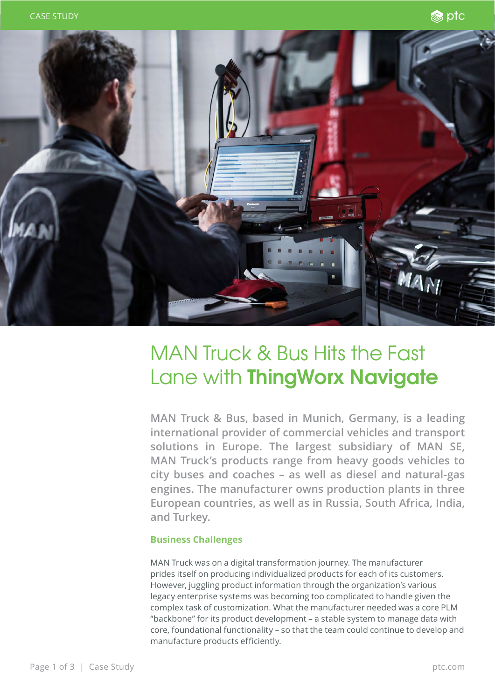



## MAN Truck & Bus Hits the Fast Lane with **ThingWorx Navigate**

**MAN Truck & Bus, based in Munich, Germany, is a leading international provider of commercial vehicles and transport solutions in Europe. The largest subsidiary of MAN SE, MAN Truck's products range from heavy goods vehicles to city buses and coaches – as well as diesel and natural-gas engines. The manufacturer owns production plants in three European countries, as well as in Russia, South Africa, India, and Turkey.** 

## **Business Challenges**

MAN Truck was on a digital transformation journey. The manufacturer prides itself on producing individualized products for each of its customers. However, juggling product information through the organization's various legacy enterprise systems was becoming too complicated to handle given the complex task of customization. What the manufacturer needed was a core PLM "backbone" for its product development – a stable system to manage data with core, foundational functionality – so that the team could continue to develop and manufacture products efficiently.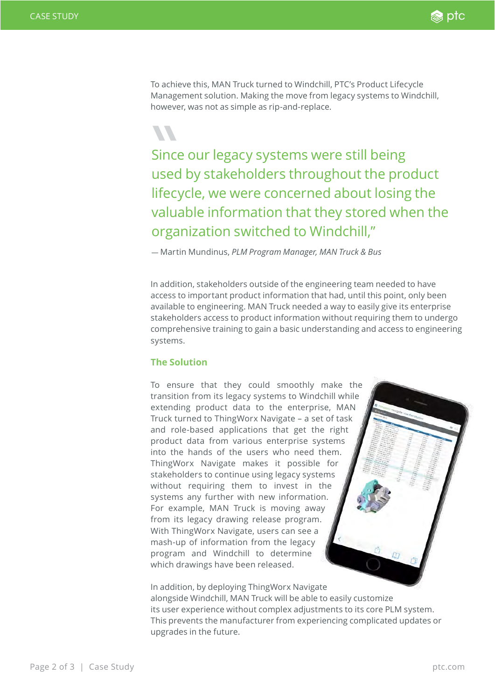

To achieve this, MAN Truck turned to Windchill, PTC's Product Lifecycle Management solution. Making the move from legacy systems to Windchill, however, was not as simple as rip-and-replace.

Since<br>
used<br>
lifecy Since our legacy systems were still being used by stakeholders throughout the product lifecycle, we were concerned about losing the valuable information that they stored when the organization switched to Windchill,"

— Martin Mundinus, *PLM Program Manager, MAN Truck & Bus*

In addition, stakeholders outside of the engineering team needed to have access to important product information that had, until this point, only been available to engineering. MAN Truck needed a way to easily give its enterprise stakeholders access to product information without requiring them to undergo comprehensive training to gain a basic understanding and access to engineering systems.

## **The Solution**

To ensure that they could smoothly make the transition from its legacy systems to Windchill while extending product data to the enterprise, MAN Truck turned to ThingWorx Navigate – a set of task and role-based applications that get the right product data from various enterprise systems into the hands of the users who need them. ThingWorx Navigate makes it possible for stakeholders to continue using legacy systems without requiring them to invest in the systems any further with new information. For example, MAN Truck is moving away from its legacy drawing release program. With ThingWorx Navigate, users can see a mash-up of information from the legacy program and Windchill to determine which drawings have been released.

In addition, by deploying ThingWorx Navigate alongside Windchill, MAN Truck will be able to easily customize its user experience without complex adjustments to its core PLM system. This prevents the manufacturer from experiencing complicated updates or upgrades in the future.